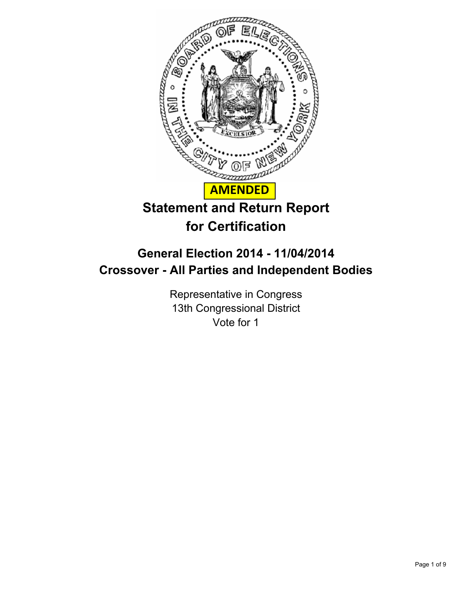

# **for Certification**

# **General Election 2014 - 11/04/2014 Crossover - All Parties and Independent Bodies**

Representative in Congress 13th Congressional District Vote for 1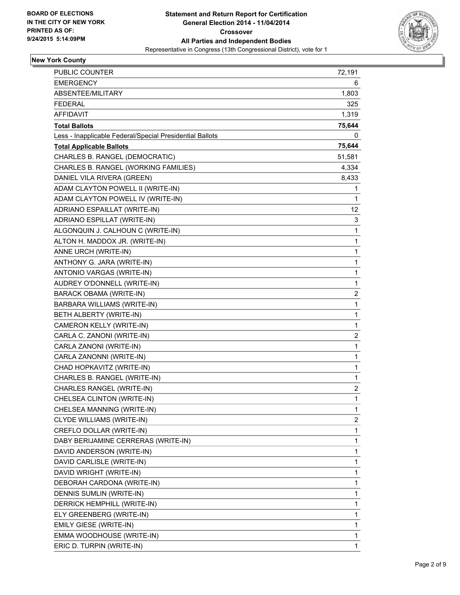

## **New York County**

| PUBLIC COUNTER                                           | 72,191                  |
|----------------------------------------------------------|-------------------------|
| <b>EMERGENCY</b>                                         | 6                       |
| ABSENTEE/MILITARY                                        | 1,803                   |
| <b>FEDERAL</b>                                           | 325                     |
| AFFIDAVIT                                                | 1,319                   |
| <b>Total Ballots</b>                                     | 75,644                  |
| Less - Inapplicable Federal/Special Presidential Ballots | 0                       |
| <b>Total Applicable Ballots</b>                          | 75,644                  |
| CHARLES B. RANGEL (DEMOCRATIC)                           | 51,581                  |
| CHARLES B. RANGEL (WORKING FAMILIES)                     | 4,334                   |
| DANIEL VILA RIVERA (GREEN)                               | 8,433                   |
| ADAM CLAYTON POWELL II (WRITE-IN)                        | 1                       |
| ADAM CLAYTON POWELL IV (WRITE-IN)                        | $\mathbf{1}$            |
| ADRIANO ESPAILLAT (WRITE-IN)                             | 12.                     |
| ADRIANO ESPILLAT (WRITE-IN)                              | 3                       |
| ALGONQUIN J. CALHOUN C (WRITE-IN)                        | 1                       |
| ALTON H. MADDOX JR. (WRITE-IN)                           | 1                       |
| ANNE URCH (WRITE-IN)                                     | 1                       |
| ANTHONY G. JARA (WRITE-IN)                               | 1                       |
| ANTONIO VARGAS (WRITE-IN)                                | 1                       |
| AUDREY O'DONNELL (WRITE-IN)                              | 1                       |
| BARACK OBAMA (WRITE-IN)                                  | 2                       |
| BARBARA WILLIAMS (WRITE-IN)                              | 1                       |
| BETH ALBERTY (WRITE-IN)                                  | 1                       |
| CAMERON KELLY (WRITE-IN)                                 | 1                       |
| CARLA C. ZANONI (WRITE-IN)                               | $\overline{\mathbf{c}}$ |
| CARLA ZANONI (WRITE-IN)                                  | 1                       |
| CARLA ZANONNI (WRITE-IN)                                 | 1                       |
| CHAD HOPKAVITZ (WRITE-IN)                                | 1                       |
| CHARLES B. RANGEL (WRITE-IN)                             | 1                       |
| CHARLES RANGEL (WRITE-IN)                                | $\overline{\mathbf{c}}$ |
| CHELSEA CLINTON (WRITE-IN)                               | 1                       |
| CHELSEA MANNING (WRITE-IN)                               | 1                       |
| CLYDE WILLIAMS (WRITE-IN)                                | $\overline{\mathbf{c}}$ |
| CREFLO DOLLAR (WRITE-IN)                                 | 1                       |
| DABY BERIJAMINE CERRERAS (WRITE-IN)                      | 1                       |
| DAVID ANDERSON (WRITE-IN)                                | $\mathbf 1$             |
| DAVID CARLISLE (WRITE-IN)                                | 1                       |
| DAVID WRIGHT (WRITE-IN)                                  | 1                       |
| DEBORAH CARDONA (WRITE-IN)                               | 1                       |
| DENNIS SUMLIN (WRITE-IN)                                 | 1                       |
| DERRICK HEMPHILL (WRITE-IN)                              | 1                       |
| ELY GREENBERG (WRITE-IN)                                 | 1                       |
| EMILY GIESE (WRITE-IN)                                   | 1                       |
| EMMA WOODHOUSE (WRITE-IN)                                | 1                       |
| ERIC D. TURPIN (WRITE-IN)                                | 1                       |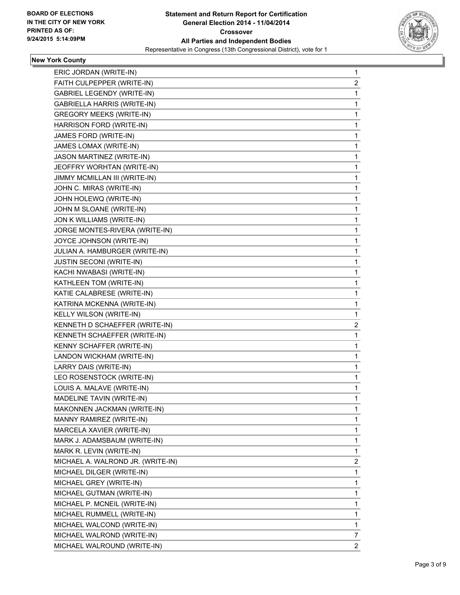

#### **New York County**

| ERIC JORDAN (WRITE-IN)             | 1              |
|------------------------------------|----------------|
| FAITH CULPEPPER (WRITE-IN)         | 2              |
| <b>GABRIEL LEGENDY (WRITE-IN)</b>  | 1              |
| <b>GABRIELLA HARRIS (WRITE-IN)</b> | 1              |
| <b>GREGORY MEEKS (WRITE-IN)</b>    | 1              |
| HARRISON FORD (WRITE-IN)           | 1              |
| JAMES FORD (WRITE-IN)              | 1              |
| JAMES LOMAX (WRITE-IN)             | 1              |
| <b>JASON MARTINEZ (WRITE-IN)</b>   | 1              |
| JEOFFRY WORHTAN (WRITE-IN)         | 1              |
| JIMMY MCMILLAN III (WRITE-IN)      | 1              |
| JOHN C. MIRAS (WRITE-IN)           | 1              |
| JOHN HOLEWQ (WRITE-IN)             | 1              |
| JOHN M SLOANE (WRITE-IN)           | 1              |
| JON K WILLIAMS (WRITE-IN)          | 1              |
| JORGE MONTES-RIVERA (WRITE-IN)     | 1              |
| JOYCE JOHNSON (WRITE-IN)           | 1              |
| JULIAN A. HAMBURGER (WRITE-IN)     | 1              |
| JUSTIN SECONI (WRITE-IN)           | 1              |
| KACHI NWABASI (WRITE-IN)           | 1              |
| KATHLEEN TOM (WRITE-IN)            | 1              |
| KATIE CALABRESE (WRITE-IN)         | 1              |
| KATRINA MCKENNA (WRITE-IN)         | 1              |
| KELLY WILSON (WRITE-IN)            | 1              |
| KENNETH D SCHAEFFER (WRITE-IN)     | 2              |
| KENNETH SCHAEFFER (WRITE-IN)       | 1              |
| KENNY SCHAFFER (WRITE-IN)          | 1              |
| LANDON WICKHAM (WRITE-IN)          | 1              |
| LARRY DAIS (WRITE-IN)              | 1              |
| LEO ROSENSTOCK (WRITE-IN)          | 1              |
| LOUIS A. MALAVE (WRITE-IN)         | 1              |
| MADELINE TAVIN (WRITE-IN)          | 1              |
| MAKONNEN JACKMAN (WRITE-IN)        | 1              |
| MANNY RAMIREZ (WRITE-IN)           | 1              |
| MARCELA XAVIER (WRITE-IN)          | 1              |
| MARK J. ADAMSBAUM (WRITE-IN)       | 1              |
| MARK R. LEVIN (WRITE-IN)           | 1              |
| MICHAEL A. WALROND JR. (WRITE-IN)  | 2              |
| MICHAEL DILGER (WRITE-IN)          | 1              |
| MICHAEL GREY (WRITE-IN)            | 1              |
| MICHAEL GUTMAN (WRITE-IN)          | 1              |
| MICHAEL P. MCNEIL (WRITE-IN)       | 1              |
| MICHAEL RUMMELL (WRITE-IN)         | 1              |
| MICHAEL WALCOND (WRITE-IN)         | 1              |
| MICHAEL WALROND (WRITE-IN)         | 7              |
| MICHAEL WALROUND (WRITE-IN)        | $\overline{c}$ |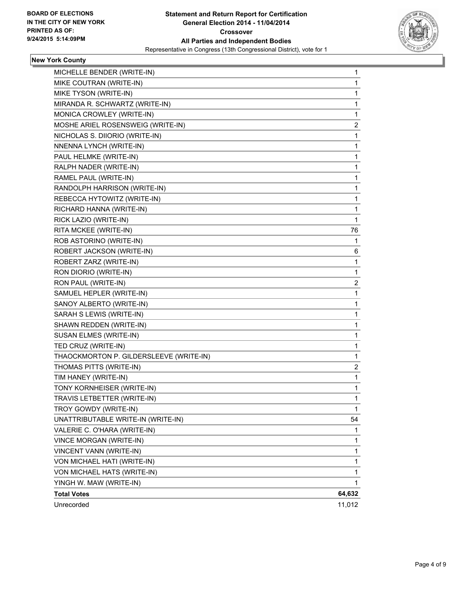

## **New York County**

| MICHELLE BENDER (WRITE-IN)              | 1      |
|-----------------------------------------|--------|
| MIKE COUTRAN (WRITE-IN)                 | 1      |
| MIKE TYSON (WRITE-IN)                   | 1      |
| MIRANDA R. SCHWARTZ (WRITE-IN)          | 1      |
| MONICA CROWLEY (WRITE-IN)               | 1      |
| MOSHE ARIEL ROSENSWEIG (WRITE-IN)       | 2      |
| NICHOLAS S. DIIORIO (WRITE-IN)          | 1      |
| NNENNA LYNCH (WRITE-IN)                 | 1      |
| PAUL HELMKE (WRITE-IN)                  | 1      |
| RALPH NADER (WRITE-IN)                  | 1      |
| RAMEL PAUL (WRITE-IN)                   | 1      |
| RANDOLPH HARRISON (WRITE-IN)            | 1      |
| REBECCA HYTOWITZ (WRITE-IN)             | 1      |
| RICHARD HANNA (WRITE-IN)                | 1      |
| RICK LAZIO (WRITE-IN)                   | 1      |
| RITA MCKEE (WRITE-IN)                   | 76     |
| ROB ASTORINO (WRITE-IN)                 | 1      |
| ROBERT JACKSON (WRITE-IN)               | 6      |
| ROBERT ZARZ (WRITE-IN)                  | 1      |
| RON DIORIO (WRITE-IN)                   | 1      |
| RON PAUL (WRITE-IN)                     | 2      |
| SAMUEL HEPLER (WRITE-IN)                | 1      |
| SANOY ALBERTO (WRITE-IN)                | 1      |
| SARAH S LEWIS (WRITE-IN)                | 1      |
| SHAWN REDDEN (WRITE-IN)                 | 1      |
| SUSAN ELMES (WRITE-IN)                  | 1      |
| TED CRUZ (WRITE-IN)                     | 1      |
| THAOCKMORTON P. GILDERSLEEVE (WRITE-IN) | 1      |
| THOMAS PITTS (WRITE-IN)                 | 2      |
| TIM HANEY (WRITE-IN)                    | 1      |
| TONY KORNHEISER (WRITE-IN)              | 1      |
| TRAVIS LETBETTER (WRITE-IN)             | 1      |
| TROY GOWDY (WRITE-IN)                   | 1      |
| UNATTRIBUTABLE WRITE-IN (WRITE-IN)      | 54     |
| VALERIE C. O'HARA (WRITE-IN)            | 1      |
| VINCE MORGAN (WRITE-IN)                 | 1      |
| VINCENT VANN (WRITE-IN)                 | 1      |
| VON MICHAEL HATI (WRITE-IN)             | 1      |
| VON MICHAEL HATS (WRITE-IN)             | 1      |
| YINGH W. MAW (WRITE-IN)                 | 1      |
| <b>Total Votes</b>                      | 64,632 |
| Unrecorded                              | 11,012 |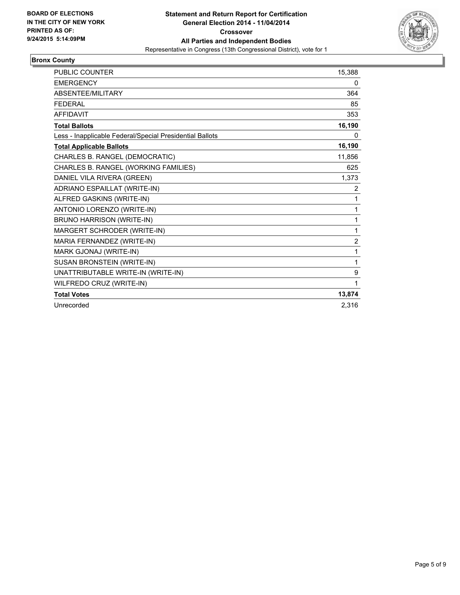

#### **Bronx County**

| <b>PUBLIC COUNTER</b>                                    | 15,388         |
|----------------------------------------------------------|----------------|
| <b>EMERGENCY</b>                                         | 0              |
| ABSENTEE/MILITARY                                        | 364            |
| <b>FEDERAL</b>                                           | 85             |
| <b>AFFIDAVIT</b>                                         | 353            |
| <b>Total Ballots</b>                                     | 16,190         |
| Less - Inapplicable Federal/Special Presidential Ballots | 0              |
| <b>Total Applicable Ballots</b>                          | 16,190         |
| CHARLES B. RANGEL (DEMOCRATIC)                           | 11,856         |
| CHARLES B. RANGEL (WORKING FAMILIES)                     | 625            |
| DANIEL VILA RIVERA (GREEN)                               | 1,373          |
| ADRIANO ESPAILLAT (WRITE-IN)                             | 2              |
| ALFRED GASKINS (WRITE-IN)                                | 1              |
| ANTONIO LORENZO (WRITE-IN)                               | 1              |
| BRUNO HARRISON (WRITE-IN)                                | 1              |
| MARGERT SCHRODER (WRITE-IN)                              | 1              |
| MARIA FERNANDEZ (WRITE-IN)                               | $\overline{2}$ |
| MARK GJONAJ (WRITE-IN)                                   | 1              |
| SUSAN BRONSTEIN (WRITE-IN)                               | 1              |
| UNATTRIBUTABLE WRITE-IN (WRITE-IN)                       | 9              |
| WILFREDO CRUZ (WRITE-IN)                                 | 1              |
| <b>Total Votes</b>                                       | 13,874         |
| Unrecorded                                               | 2,316          |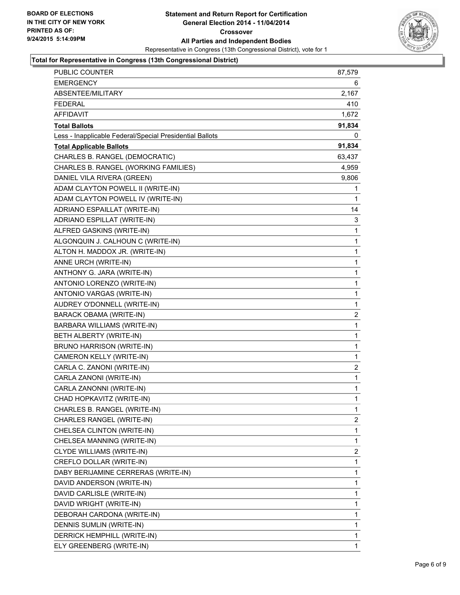

#### **Total for Representative in Congress (13th Congressional District)**

| <b>PUBLIC COUNTER</b>                                    | 87,579 |
|----------------------------------------------------------|--------|
| <b>EMERGENCY</b>                                         | 6      |
| ABSENTEE/MILITARY                                        | 2,167  |
| <b>FEDERAL</b>                                           | 410    |
| <b>AFFIDAVIT</b>                                         | 1,672  |
| <b>Total Ballots</b>                                     | 91,834 |
| Less - Inapplicable Federal/Special Presidential Ballots | 0      |
| <b>Total Applicable Ballots</b>                          | 91,834 |
| CHARLES B. RANGEL (DEMOCRATIC)                           | 63,437 |
| CHARLES B. RANGEL (WORKING FAMILIES)                     | 4,959  |
| DANIEL VILA RIVERA (GREEN)                               | 9,806  |
| ADAM CLAYTON POWELL II (WRITE-IN)                        | 1      |
| ADAM CLAYTON POWELL IV (WRITE-IN)                        | 1      |
| ADRIANO ESPAILLAT (WRITE-IN)                             | 14     |
| ADRIANO ESPILLAT (WRITE-IN)                              | 3      |
| ALFRED GASKINS (WRITE-IN)                                | 1      |
| ALGONQUIN J. CALHOUN C (WRITE-IN)                        | 1      |
| ALTON H. MADDOX JR. (WRITE-IN)                           | 1      |
| ANNE URCH (WRITE-IN)                                     | 1      |
| ANTHONY G. JARA (WRITE-IN)                               | 1      |
| ANTONIO LORENZO (WRITE-IN)                               | 1      |
| ANTONIO VARGAS (WRITE-IN)                                | 1      |
| AUDREY O'DONNELL (WRITE-IN)                              | 1      |
| <b>BARACK OBAMA (WRITE-IN)</b>                           | 2      |
| BARBARA WILLIAMS (WRITE-IN)                              | 1      |
| BETH ALBERTY (WRITE-IN)                                  | 1      |
| BRUNO HARRISON (WRITE-IN)                                | 1      |
| CAMERON KELLY (WRITE-IN)                                 | 1      |
| CARLA C. ZANONI (WRITE-IN)                               | 2      |
| CARLA ZANONI (WRITE-IN)                                  | 1      |
| CARLA ZANONNI (WRITE-IN)                                 | 1      |
| CHAD HOPKAVITZ (WRITE-IN)                                | 1      |
| CHARLES B. RANGEL (WRITE-IN)                             | 1      |
| CHARLES RANGEL (WRITE-IN)                                | 2      |
| CHELSEA CLINTON (WRITE-IN)                               | 1      |
| CHELSEA MANNING (WRITE-IN)                               | 1      |
| CLYDE WILLIAMS (WRITE-IN)                                | 2      |
| CREFLO DOLLAR (WRITE-IN)                                 | 1      |
| DABY BERIJAMINE CERRERAS (WRITE-IN)                      | 1      |
| DAVID ANDERSON (WRITE-IN)                                | 1      |
| DAVID CARLISLE (WRITE-IN)                                | 1      |
| DAVID WRIGHT (WRITE-IN)                                  | 1      |
| DEBORAH CARDONA (WRITE-IN)                               | 1      |
| DENNIS SUMLIN (WRITE-IN)                                 | 1      |
| DERRICK HEMPHILL (WRITE-IN)                              | 1      |
| ELY GREENBERG (WRITE-IN)                                 | 1      |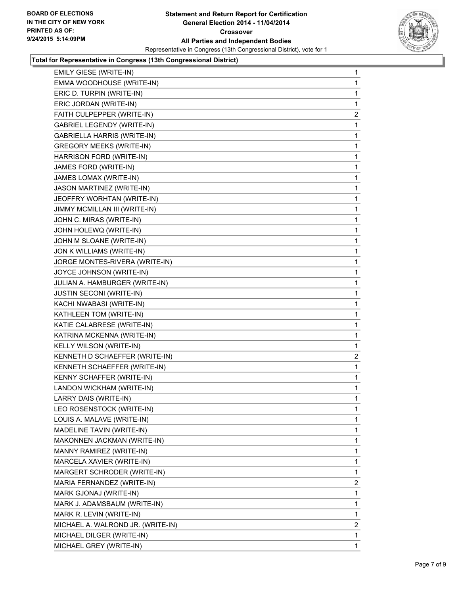

#### **Total for Representative in Congress (13th Congressional District)**

| EMILY GIESE (WRITE-IN)             | 1              |
|------------------------------------|----------------|
| EMMA WOODHOUSE (WRITE-IN)          | 1              |
| ERIC D. TURPIN (WRITE-IN)          | 1              |
| ERIC JORDAN (WRITE-IN)             | 1              |
| FAITH CULPEPPER (WRITE-IN)         | 2              |
| <b>GABRIEL LEGENDY (WRITE-IN)</b>  | 1              |
| <b>GABRIELLA HARRIS (WRITE-IN)</b> | 1              |
| <b>GREGORY MEEKS (WRITE-IN)</b>    | 1              |
| HARRISON FORD (WRITE-IN)           | 1              |
| JAMES FORD (WRITE-IN)              | 1              |
| JAMES LOMAX (WRITE-IN)             | 1              |
| JASON MARTINEZ (WRITE-IN)          | 1              |
| JEOFFRY WORHTAN (WRITE-IN)         | 1              |
| JIMMY MCMILLAN III (WRITE-IN)      | 1              |
| JOHN C. MIRAS (WRITE-IN)           | 1              |
| JOHN HOLEWQ (WRITE-IN)             | 1              |
| JOHN M SLOANE (WRITE-IN)           | 1              |
| JON K WILLIAMS (WRITE-IN)          | 1              |
| JORGE MONTES-RIVERA (WRITE-IN)     | 1              |
| JOYCE JOHNSON (WRITE-IN)           | 1              |
| JULIAN A. HAMBURGER (WRITE-IN)     | 1              |
| <b>JUSTIN SECONI (WRITE-IN)</b>    | 1              |
| KACHI NWABASI (WRITE-IN)           | 1              |
| KATHLEEN TOM (WRITE-IN)            | 1              |
| KATIE CALABRESE (WRITE-IN)         | 1              |
| KATRINA MCKENNA (WRITE-IN)         | 1              |
| KELLY WILSON (WRITE-IN)            | 1              |
| KENNETH D SCHAEFFER (WRITE-IN)     | $\overline{2}$ |
| KENNETH SCHAEFFER (WRITE-IN)       | 1              |
| KENNY SCHAFFER (WRITE-IN)          | 1              |
| LANDON WICKHAM (WRITE-IN)          | 1              |
| LARRY DAIS (WRITE-IN)              | 1              |
| LEO ROSENSTOCK (WRITE-IN)          | 1              |
| LOUIS A. MALAVE (WRITE-IN)         | 1              |
| MADELINE TAVIN (WRITE-IN)          | 1              |
| MAKONNEN JACKMAN (WRITE-IN)        | 1              |
| MANNY RAMIREZ (WRITE-IN)           | 1              |
| MARCELA XAVIER (WRITE-IN)          | 1              |
| MARGERT SCHRODER (WRITE-IN)        | 1              |
| MARIA FERNANDEZ (WRITE-IN)         | $\mathbf{2}$   |
| MARK GJONAJ (WRITE-IN)             | 1              |
| MARK J. ADAMSBAUM (WRITE-IN)       | 1              |
| MARK R. LEVIN (WRITE-IN)           | 1              |
| MICHAEL A. WALROND JR. (WRITE-IN)  | 2              |
| MICHAEL DILGER (WRITE-IN)          | 1              |
| MICHAEL GREY (WRITE-IN)            | 1              |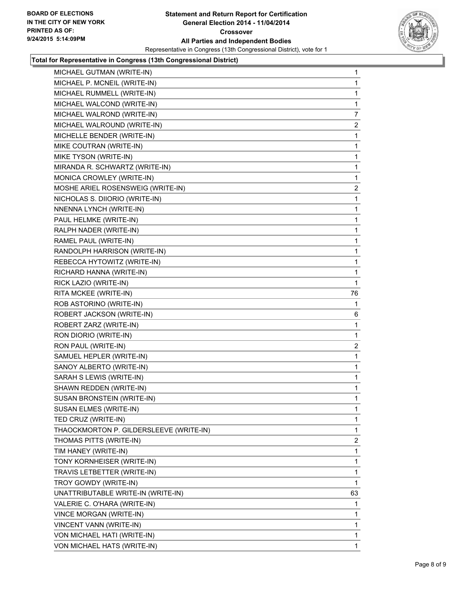

#### **Total for Representative in Congress (13th Congressional District)**

| MICHAEL GUTMAN (WRITE-IN)               | 1              |
|-----------------------------------------|----------------|
| MICHAEL P. MCNEIL (WRITE-IN)            | 1              |
| MICHAEL RUMMELL (WRITE-IN)              | 1              |
| MICHAEL WALCOND (WRITE-IN)              | 1              |
| MICHAEL WALROND (WRITE-IN)              | 7              |
| MICHAEL WALROUND (WRITE-IN)             | 2              |
| MICHELLE BENDER (WRITE-IN)              | 1              |
| MIKE COUTRAN (WRITE-IN)                 | 1              |
| MIKE TYSON (WRITE-IN)                   | 1              |
| MIRANDA R. SCHWARTZ (WRITE-IN)          | 1              |
| MONICA CROWLEY (WRITE-IN)               | 1              |
| MOSHE ARIEL ROSENSWEIG (WRITE-IN)       | 2              |
| NICHOLAS S. DIIORIO (WRITE-IN)          | 1              |
| NNENNA LYNCH (WRITE-IN)                 | 1              |
| PAUL HELMKE (WRITE-IN)                  | 1              |
| RALPH NADER (WRITE-IN)                  | 1              |
| RAMEL PAUL (WRITE-IN)                   | 1              |
| RANDOLPH HARRISON (WRITE-IN)            | 1              |
| REBECCA HYTOWITZ (WRITE-IN)             | 1              |
| RICHARD HANNA (WRITE-IN)                | 1              |
| RICK LAZIO (WRITE-IN)                   | 1              |
| RITA MCKEE (WRITE-IN)                   | 76             |
| ROB ASTORINO (WRITE-IN)                 | 1              |
| ROBERT JACKSON (WRITE-IN)               | 6              |
| ROBERT ZARZ (WRITE-IN)                  | 1              |
| RON DIORIO (WRITE-IN)                   | 1              |
| RON PAUL (WRITE-IN)                     | 2              |
| SAMUEL HEPLER (WRITE-IN)                | 1              |
| SANOY ALBERTO (WRITE-IN)                | 1              |
| SARAH S LEWIS (WRITE-IN)                | 1              |
| SHAWN REDDEN (WRITE-IN)                 | 1              |
| SUSAN BRONSTEIN (WRITE-IN)              | 1              |
| SUSAN ELMES (WRITE-IN)                  | 1              |
| TED CRUZ (WRITE-IN)                     | $\mathbf{1}$   |
| THAOCKMORTON P. GILDERSLEEVE (WRITE-IN) | 1              |
| THOMAS PITTS (WRITE-IN)                 | $\overline{2}$ |
| TIM HANEY (WRITE-IN)                    | 1              |
| TONY KORNHEISER (WRITE-IN)              | 1              |
| TRAVIS LETBETTER (WRITE-IN)             | 1              |
| TROY GOWDY (WRITE-IN)                   | 1              |
| UNATTRIBUTABLE WRITE-IN (WRITE-IN)      | 63             |
| VALERIE C. O'HARA (WRITE-IN)            | 1              |
| VINCE MORGAN (WRITE-IN)                 | 1              |
| VINCENT VANN (WRITE-IN)                 | 1              |
| VON MICHAEL HATI (WRITE-IN)             | 1              |
| VON MICHAEL HATS (WRITE-IN)             | 1.             |
|                                         |                |